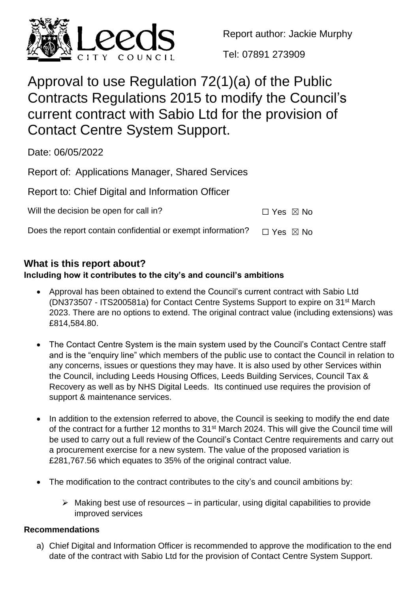

Report author: Jackie Murphy

Tel: 07891 273909

# Approval to use Regulation 72(1)(a) of the Public Contracts Regulations 2015 to modify the Council's current contract with Sabio Ltd for the provision of Contact Centre System Support.

Date: 06/05/2022

| Report of: Applications Manager, Shared Services |
|--------------------------------------------------|
|                                                  |

|  |  | Report to: Chief Digital and Information Officer |  |
|--|--|--------------------------------------------------|--|
|  |  |                                                  |  |

Will the decision be open for call in?  $\Box$  Yes  $\boxtimes$  No

Does the report contain confidential or exempt information?  $□$  Yes  $□$  No

# **What is this report about?**

# **Including how it contributes to the city's and council's ambitions**

- Approval has been obtained to extend the Council's current contract with Sabio Ltd (DN373507 - ITS200581a) for Contact Centre Systems Support to expire on 31st March 2023. There are no options to extend. The original contract value (including extensions) was £814,584.80.
- The Contact Centre System is the main system used by the Council's Contact Centre staff and is the "enquiry line" which members of the public use to contact the Council in relation to any concerns, issues or questions they may have. It is also used by other Services within the Council, including Leeds Housing Offices, Leeds Building Services, Council Tax & Recovery as well as by NHS Digital Leeds. Its continued use requires the provision of support & maintenance services.
- In addition to the extension referred to above, the Council is seeking to modify the end date of the contract for a further 12 months to 31<sup>st</sup> March 2024. This will give the Council time will be used to carry out a full review of the Council's Contact Centre requirements and carry out a procurement exercise for a new system. The value of the proposed variation is £281,767.56 which equates to 35% of the original contract value.
- The modification to the contract contributes to the city's and council ambitions by:
	- $\triangleright$  Making best use of resources in particular, using digital capabilities to provide improved services

# **Recommendations**

a) Chief Digital and Information Officer is recommended to approve the modification to the end date of the contract with Sabio Ltd for the provision of Contact Centre System Support.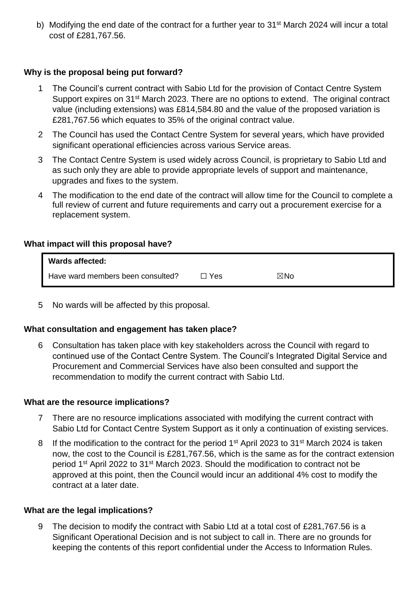b) Modifying the end date of the contract for a further year to  $31<sup>st</sup>$  March 2024 will incur a total cost of £281,767.56.

# **Why is the proposal being put forward?**

- 1 The Council's current contract with Sabio Ltd for the provision of Contact Centre System Support expires on 31<sup>st</sup> March 2023. There are no options to extend. The original contract value (including extensions) was £814,584.80 and the value of the proposed variation is £281,767.56 which equates to 35% of the original contract value.
- 2 The Council has used the Contact Centre System for several years, which have provided significant operational efficiencies across various Service areas.
- 3 The Contact Centre System is used widely across Council, is proprietary to Sabio Ltd and as such only they are able to provide appropriate levels of support and maintenance, upgrades and fixes to the system.
- 4 The modification to the end date of the contract will allow time for the Council to complete a full review of current and future requirements and carry out a procurement exercise for a replacement system.

## **What impact will this proposal have?**

| <b>Wards affected:</b>            |     |     |
|-----------------------------------|-----|-----|
| Have ward members been consulted? | Yes | ⊠No |

5 No wards will be affected by this proposal.

#### **What consultation and engagement has taken place?**

6 Consultation has taken place with key stakeholders across the Council with regard to continued use of the Contact Centre System. The Council's Integrated Digital Service and Procurement and Commercial Services have also been consulted and support the recommendation to modify the current contract with Sabio Ltd.

#### **What are the resource implications?**

- 7 There are no resource implications associated with modifying the current contract with Sabio Ltd for Contact Centre System Support as it only a continuation of existing services.
- 8 If the modification to the contract for the period 1<sup>st</sup> April 2023 to 31<sup>st</sup> March 2024 is taken now, the cost to the Council is £281,767.56, which is the same as for the contract extension period 1<sup>st</sup> April 2022 to 31<sup>st</sup> March 2023. Should the modification to contract not be approved at this point, then the Council would incur an additional 4% cost to modify the contract at a later date.

#### **What are the legal implications?**

9 The decision to modify the contract with Sabio Ltd at a total cost of £281,767.56 is a Significant Operational Decision and is not subject to call in. There are no grounds for keeping the contents of this report confidential under the Access to Information Rules.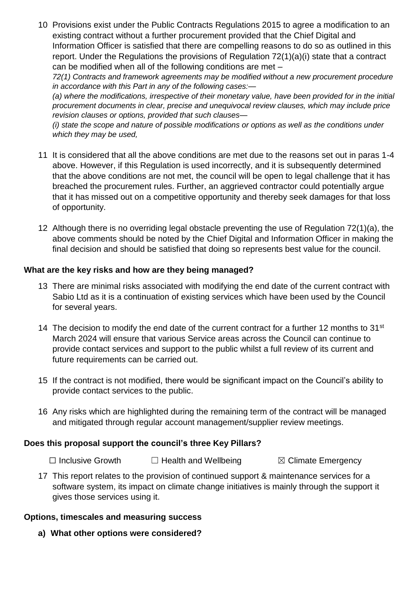10 Provisions exist under the Public Contracts Regulations 2015 to agree a modification to an existing contract without a further procurement provided that the Chief Digital and Information Officer is satisfied that there are compelling reasons to do so as outlined in this report. Under the Regulations the provisions of Regulation 72(1)(a)(i) state that a contract can be modified when all of the following conditions are met –

*72(1) Contracts and framework agreements may be modified without a new procurement procedure in accordance with this Part in any of the following cases:—*

*(a) where the modifications, irrespective of their monetary value, have been provided for in the initial procurement documents in clear, precise and unequivocal review clauses, which may include price revision clauses or options, provided that such clauses—*

*(i) state the scope and nature of possible modifications or options as well as the conditions under which they may be used,* 

- 11 It is considered that all the above conditions are met due to the reasons set out in paras 1-4 above. However, if this Regulation is used incorrectly, and it is subsequently determined that the above conditions are not met, the council will be open to legal challenge that it has breached the procurement rules. Further, an aggrieved contractor could potentially argue that it has missed out on a competitive opportunity and thereby seek damages for that loss of opportunity.
- 12 Although there is no overriding legal obstacle preventing the use of Regulation 72(1)(a), the above comments should be noted by the Chief Digital and Information Officer in making the final decision and should be satisfied that doing so represents best value for the council.

# **What are the key risks and how are they being managed?**

- 13 There are minimal risks associated with modifying the end date of the current contract with Sabio Ltd as it is a continuation of existing services which have been used by the Council for several years.
- 14 The decision to modify the end date of the current contract for a further 12 months to  $31<sup>st</sup>$ March 2024 will ensure that various Service areas across the Council can continue to provide contact services and support to the public whilst a full review of its current and future requirements can be carried out.
- 15 If the contract is not modified, there would be significant impact on the Council's ability to provide contact services to the public.
- 16 Any risks which are highlighted during the remaining term of the contract will be managed and mitigated through regular account management/supplier review meetings.

# **Does this proposal support the council's three Key Pillars?**

☐ Inclusive Growth ☐ Health and Wellbeing ☒ Climate Emergency

17 This report relates to the provision of continued support & maintenance services for a software system, its impact on climate change initiatives is mainly through the support it gives those services using it.

# **Options, timescales and measuring success**

**a) What other options were considered?**